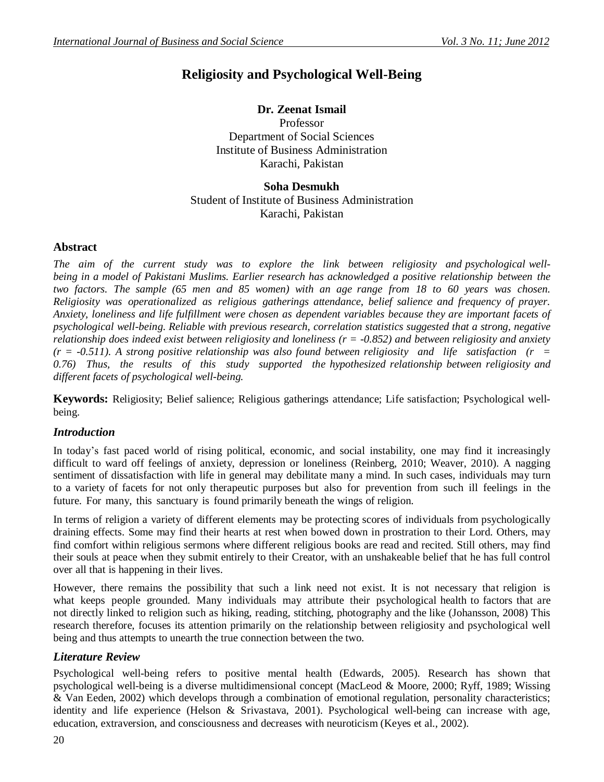# **Religiosity and Psychological Well-Being**

## **Dr. Zeenat Ismail**

Professor Department of Social Sciences Institute of Business Administration Karachi, Pakistan

**Soha Desmukh** Student of Institute of Business Administration Karachi, Pakistan

#### **Abstract**

*The aim of the current study was to explore the link between religiosity and psychological wellbeing in a model of Pakistani Muslims. Earlier research has acknowledged a positive relationship between the* two factors. The sample (65 men and 85 women) with an age range from 18 to 60 years was chosen. *Religiosity was operationalized as religious gatherings attendance, belief salience and frequency of prayer. Anxiety, loneliness and life fulfillment were chosen as dependent variables because they are important facets of psychological well-being. Reliable with previous research, correlation statistics suggested that a strong, negative relationship does indeed exist between religiosity and loneliness (r = -0.852) and between religiosity and anxiety (r = -0.511). A strong positive relationship was also found between religiosity and life satisfaction (r = 0.76) Thus, the results of this study supported the hypothesized relationship between religiosity and different facets of psychological well-being.*

**Keywords:** Religiosity; Belief salience; Religious gatherings attendance; Life satisfaction; Psychological wellbeing.

# *Introduction*

In today"s fast paced world of rising political, economic, and social instability, one may find it increasingly difficult to ward off feelings of anxiety, depression or loneliness (Reinberg, 2010; Weaver, 2010). A nagging sentiment of dissatisfaction with life in general may debilitate many a mind. In such cases, individuals may turn to a variety of facets for not only therapeutic purposes but also for prevention from such ill feelings in the future. For many, this sanctuary is found primarily beneath the wings of religion.

In terms of religion a variety of different elements may be protecting scores of individuals from psychologically draining effects. Some may find their hearts at rest when bowed down in prostration to their Lord. Others, may find comfort within religious sermons where different religious books are read and recited. Still others, may find their souls at peace when they submit entirely to their Creator, with an unshakeable belief that he has full control over all that is happening in their lives.

However, there remains the possibility that such a link need not exist. It is not necessary that religion is what keeps people grounded. Many individuals may attribute their psychological health to factors that are not directly linked to religion such as hiking, reading, stitching, photography and the like (Johansson, 2008) This research therefore, focuses its attention primarily on the relationship between religiosity and psychological well being and thus attempts to unearth the true connection between the two.

# *Literature Review*

Psychological well-being refers to positive mental health (Edwards, 2005). Research has shown that psychological well-being is a diverse multidimensional concept (MacLeod & Moore, 2000; Ryff, 1989; Wissing & Van Eeden, 2002) which develops through a combination of emotional regulation, personality characteristics; identity and life experience (Helson & Srivastava, 2001). Psychological well-being can increase with age, education, extraversion, and consciousness and decreases with neuroticism (Keyes et al., 2002).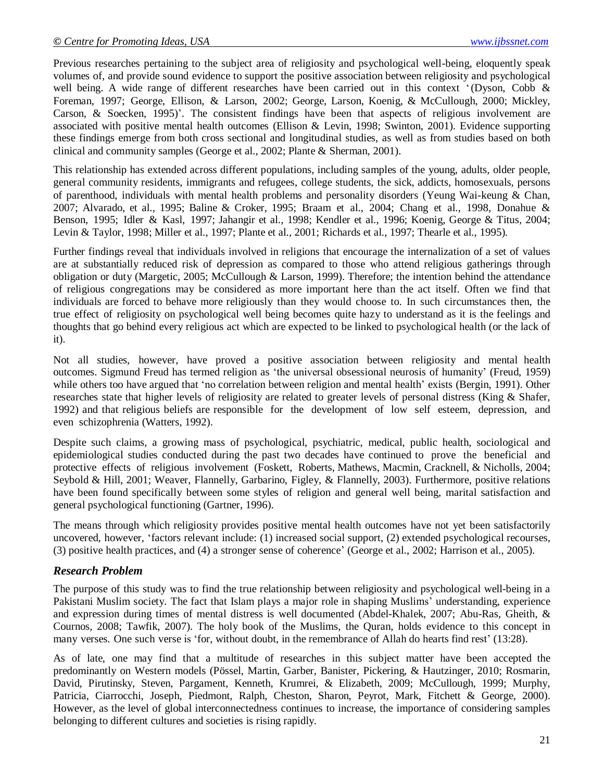Previous researches pertaining to the subject area of religiosity and psychological well-being, eloquently speak volumes of, and provide sound evidence to support the positive association between religiosity and psychological well being. A wide range of different researches have been carried out in this context '(Dyson, Cobb & Foreman, 1997; George, Ellison, & Larson, 2002; George, Larson, Koenig, & McCullough, 2000; Mickley, Carson,  $\&$  Soecken, 1995)'. The consistent findings have been that aspects of religious involvement are associated with positive mental health outcomes (Ellison & Levin, 1998; Swinton, 2001). Evidence supporting these findings emerge from both cross sectional and longitudinal studies, as well as from studies based on both clinical and community samples (George et al., 2002; Plante & Sherman, 2001).

This relationship has extended across different populations, including samples of the young, adults, older people, general community residents, immigrants and refugees, college students, the sick, addicts, homosexuals, persons of parenthood, individuals with mental health problems and personality disorders (Yeung Wai-keung & Chan, 2007; Alvarado, et al., 1995; Baline & Croker, 1995; Braam et al., 2004; Chang et al., 1998, Donahue & Benson, 1995; Idler & Kasl, 1997; Jahangir et al., 1998; Kendler et al., 1996; Koenig, George & Titus, 2004; Levin & Taylor, 1998; Miller et al., 1997; Plante et al., 2001; Richards et al., 1997; Thearle et al., 1995).

Further findings reveal that individuals involved in religions that encourage the internalization of a set of values are at substantially reduced risk of depression as compared to those who attend religious gatherings through obligation or duty (Margetic, 2005; McCullough & Larson, 1999). Therefore; the intention behind the attendance of religious congregations may be considered as more important here than the act itself. Often we find that individuals are forced to behave more religiously than they would choose to. In such circumstances then, the true effect of religiosity on psychological well being becomes quite hazy to understand as it is the feelings and thoughts that go behind every religious act which are expected to be linked to psychological health (or the lack of it).

Not all studies, however, have proved a positive association between religiosity and mental health outcomes. Sigmund Freud has termed religion as "the universal obsessional neurosis of humanity" (Freud, 1959) while others too have argued that 'no correlation between religion and mental health' exists (Bergin, 1991). Other researches state that higher levels of religiosity are related to greater levels of personal distress (King & Shafer, 1992) and that religious beliefs are responsible for the development of low self esteem, depression, and even schizophrenia (Watters, 1992).

Despite such claims, a growing mass of psychological, psychiatric, medical, public health, sociological and epidemiological studies conducted during the past two decades have continued to prove the beneficial and protective effects of religious involvement (Foskett, Roberts, Mathews, Macmin, Cracknell, & Nicholls, 2004; Seybold & Hill, 2001; Weaver, Flannelly, Garbarino, Figley, & Flannelly, 2003). Furthermore, positive relations have been found specifically between some styles of religion and general well being, marital satisfaction and general psychological functioning (Gartner, 1996).

The means through which religiosity provides positive mental health outcomes have not yet been satisfactorily uncovered, however, "factors relevant include: (1) increased social support, (2) extended psychological recourses, (3) positive health practices, and (4) a stronger sense of coherence" (George et al., 2002; Harrison et al., 2005).

# *Research Problem*

The purpose of this study was to find the true relationship between religiosity and psychological well-being in a Pakistani Muslim society. The fact that Islam plays a major role in shaping Muslims" understanding, experience and expression during times of mental distress is well documented (Abdel-Khalek, 2007; Abu-Ras, Gheith, & Cournos, 2008; Tawfik, 2007). The holy book of the Muslims, the Quran, holds evidence to this concept in many verses. One such verse is 'for, without doubt, in the remembrance of Allah do hearts find rest' (13:28).

As of late, one may find that a multitude of researches in this subject matter have been accepted the predominantly on Western models (Pössel, Martin, Garber, Banister, Pickering, & Hautzinger, 2010; Rosmarin, David, Pirutinsky, Steven, Pargament, Kenneth, Krumrei, & Elizabeth, 2009; McCullough, 1999; Murphy, Patricia, Ciarrocchi, Joseph, Piedmont, Ralph, Cheston, Sharon, Peyrot, Mark, Fitchett & George, 2000). However, as the level of global interconnectedness continues to increase, the importance of considering samples belonging to different cultures and societies is rising rapidly.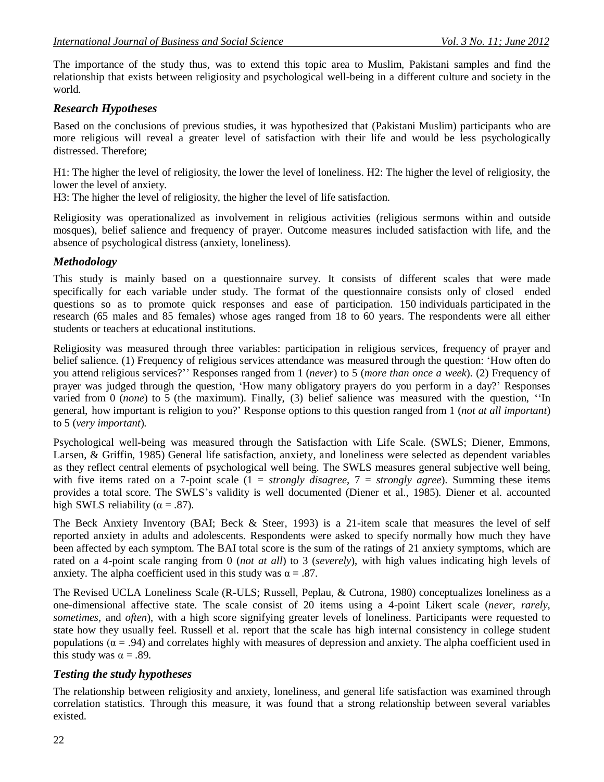The importance of the study thus, was to extend this topic area to Muslim, Pakistani samples and find the relationship that exists between religiosity and psychological well-being in a different culture and society in the world.

### *Research Hypotheses*

Based on the conclusions of previous studies, it was hypothesized that (Pakistani Muslim) participants who are more religious will reveal a greater level of satisfaction with their life and would be less psychologically distressed. Therefore;

H1: The higher the level of religiosity, the lower the level of loneliness. H2: The higher the level of religiosity, the lower the level of anxiety.

H3: The higher the level of religiosity, the higher the level of life satisfaction.

Religiosity was operationalized as involvement in religious activities (religious sermons within and outside mosques), belief salience and frequency of prayer. Outcome measures included satisfaction with life, and the absence of psychological distress (anxiety, loneliness).

#### *Methodology*

This study is mainly based on a questionnaire survey. It consists of different scales that were made specifically for each variable under study. The format of the questionnaire consists only of closed ended questions so as to promote quick responses and ease of participation. 150 individuals participated in the research (65 males and 85 females) whose ages ranged from 18 to 60 years. The respondents were all either students or teachers at educational institutions.

Religiosity was measured through three variables: participation in religious services, frequency of prayer and belief salience. (1) Frequency of religious services attendance was measured through the question: "How often do you attend religious services?"" Responses ranged from 1 (*never*) to 5 (*more than once a week*). (2) Frequency of prayer was judged through the question, "How many obligatory prayers do you perform in a day?" Responses varied from 0 (*none*) to 5 (the maximum). Finally, (3) belief salience was measured with the question, ""In general, how important is religion to you?" Response options to this question ranged from 1 (*not at all important*) to 5 (*very important*).

Psychological well-being was measured through the Satisfaction with Life Scale. (SWLS; Diener, Emmons, Larsen, & Griffin, 1985) General life satisfaction, anxiety, and loneliness were selected as dependent variables as they reflect central elements of psychological well being. The SWLS measures general subjective well being, with five items rated on a 7-point scale  $(1 = strongly \, disagree, 7 = strongly \, agree)$ . Summing these items provides a total score. The SWLS"s validity is well documented (Diener et al., 1985). Diener et al. accounted high SWLS reliability ( $\alpha = .87$ ).

The Beck Anxiety Inventory (BAI; Beck & Steer, 1993) is a 21-item scale that measures the level of self reported anxiety in adults and adolescents. Respondents were asked to specify normally how much they have been affected by each symptom. The BAI total score is the sum of the ratings of 21 anxiety symptoms, which are rated on a 4-point scale ranging from 0 (*not at all*) to 3 (*severely*), with high values indicating high levels of anxiety. The alpha coefficient used in this study was  $\alpha = .87$ .

The Revised UCLA Loneliness Scale (R-ULS; Russell, Peplau, & Cutrona, 1980) conceptualizes loneliness as a one-dimensional affective state. The scale consist of 20 items using a 4-point Likert scale (*never, rarely, sometimes,* and *often*), with a high score signifying greater levels of loneliness. Participants were requested to state how they usually feel. Russell et al. report that the scale has high internal consistency in college student populations  $(\alpha = .94)$  and correlates highly with measures of depression and anxiety. The alpha coefficient used in this study was  $\alpha = .89$ .

#### *Testing the study hypotheses*

The relationship between religiosity and anxiety, loneliness, and general life satisfaction was examined through correlation statistics. Through this measure, it was found that a strong relationship between several variables existed.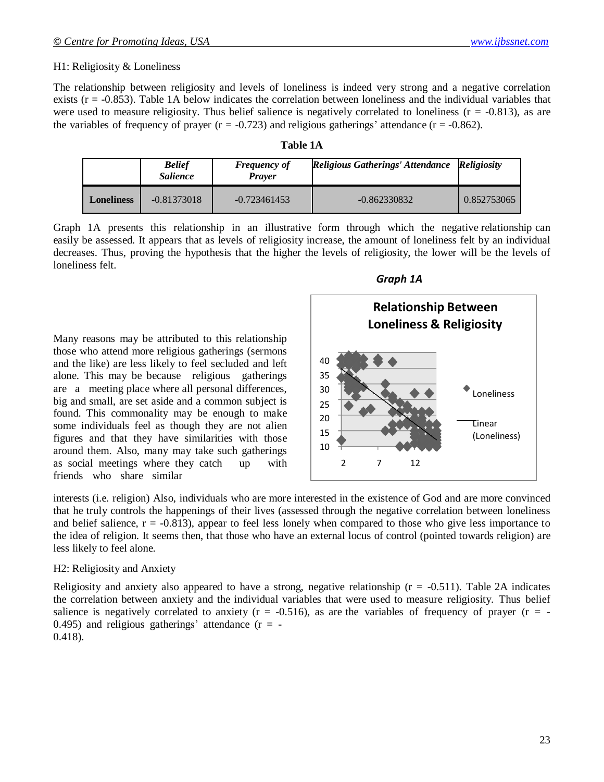#### H1: Religiosity & Loneliness

The relationship between religiosity and levels of loneliness is indeed very strong and a negative correlation exists  $(r = -0.853)$ . Table 1A below indicates the correlation between loneliness and the individual variables that were used to measure religiosity. Thus belief salience is negatively correlated to loneliness  $(r = -0.813)$ , as are the variables of frequency of prayer  $(r = -0.723)$  and religious gatherings' attendance  $(r = -0.862)$ .

| .`able |  |
|--------|--|
|--------|--|

|                   | <b>Belief</b><br><i>Salience</i> | <b>Frequency of</b><br><b>Prayer</b> | <b>Religious Gatherings' Attendance</b> | <b>Religiosity</b> |
|-------------------|----------------------------------|--------------------------------------|-----------------------------------------|--------------------|
| <b>Loneliness</b> | $-0.81373018$                    | $-0.723461453$                       | $-0.862330832$                          | 0.852753065        |

Graph 1A presents this relationship in an illustrative form through which the negative relationship can easily be assessed. It appears that as levels of religiosity increase, the amount of loneliness felt by an individual decreases. Thus, proving the hypothesis that the higher the levels of religiosity, the lower will be the levels of loneliness felt.

Many reasons may be attributed to this relationship those who attend more religious gatherings (sermons and the like) are less likely to feel secluded and left alone. This may be because religious gatherings are a meeting place where all personal differences, big and small, are set aside and a common subject is found. This commonality may be enough to make some individuals feel as though they are not alien figures and that they have similarities with those around them. Also, many may take such gatherings as social meetings where they catch up with friends who share similar





interests (i.e. religion) Also, individuals who are more interested in the existence of God and are more convinced that he truly controls the happenings of their lives (assessed through the negative correlation between loneliness and belief salience,  $r = -0.813$ ), appear to feel less lonely when compared to those who give less importance to the idea of religion. It seems then, that those who have an external locus of control (pointed towards religion) are less likely to feel alone.

#### H2: Religiosity and Anxiety

Religiosity and anxiety also appeared to have a strong, negative relationship ( $r = -0.511$ ). Table 2A indicates the correlation between anxiety and the individual variables that were used to measure religiosity. Thus belief salience is negatively correlated to anxiety ( $r = -0.516$ ), as are the variables of frequency of prayer ( $r = -0.516$ ) 0.495) and religious gatherings' attendance  $(r = -$ 0.418).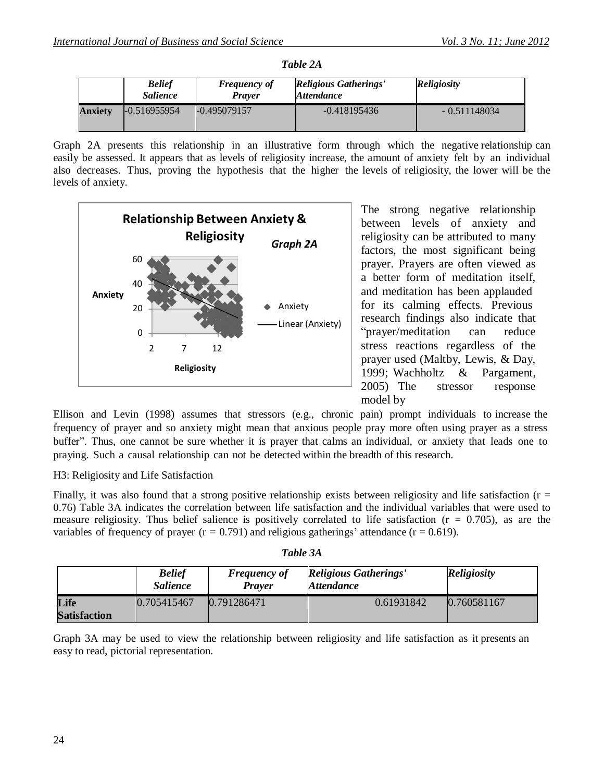|         | <b>Belief</b><br><i>Salience</i> | <b>Frequency of</b><br><b>Prayer</b> | <b>Religious Gatherings'</b><br><i><b>Attendance</b></i> | <b>Religiosity</b> |
|---------|----------------------------------|--------------------------------------|----------------------------------------------------------|--------------------|
| Anxietv | $-0.516955954$                   | $-0.495079157$                       | $-0.418195436$                                           | $-0.511148034$     |

*Table 2A*

Graph 2A presents this relationship in an illustrative form through which the negative relationship can easily be assessed. It appears that as levels of religiosity increase, the amount of anxiety felt by an individual also decreases. Thus, proving the hypothesis that the higher the levels of religiosity, the lower will be the levels of anxiety.



The strong negative relationship between levels of anxiety and religiosity can be attributed to many factors, the most significant being prayer. Prayers are often viewed as a better form of meditation itself, and meditation has been applauded for its calming effects. Previous research findings also indicate that "prayer/meditation can reduce stress reactions regardless of the prayer used (Maltby, Lewis, & Day, 1999; Wachholtz & Pargament, 2005) The stressor response model by

Ellison and Levin (1998) assumes that stressors (e.g., chronic pain) prompt individuals to increase the frequency of prayer and so anxiety might mean that anxious people pray more often using prayer as a stress buffer". Thus, one cannot be sure whether it is prayer that calms an individual, or anxiety that leads one to praying. Such a causal relationship can not be detected within the breadth of this research.

# H3: Religiosity and Life Satisfaction

Finally, it was also found that a strong positive relationship exists between religiosity and life satisfaction ( $r =$ 0.76) Table 3A indicates the correlation between life satisfaction and the individual variables that were used to measure religiosity. Thus belief salience is positively correlated to life satisfaction  $(r = 0.705)$ , as are the variables of frequency of prayer ( $r = 0.791$ ) and religious gatherings' attendance ( $r = 0.619$ ).

|                             | <b>Belief</b><br><i>Salience</i> | <b>Frequency of</b><br><b>Praver</b> | <b>Religious Gatherings'</b><br><i>Attendance</i> | <b>Religiosity</b> |
|-----------------------------|----------------------------------|--------------------------------------|---------------------------------------------------|--------------------|
| Life<br><b>Satisfaction</b> | 0.705415467                      | 0.791286471                          | 0.61931842                                        | 0.760581167        |

Graph 3A may be used to view the relationship between religiosity and life satisfaction as it presents an easy to read, pictorial representation.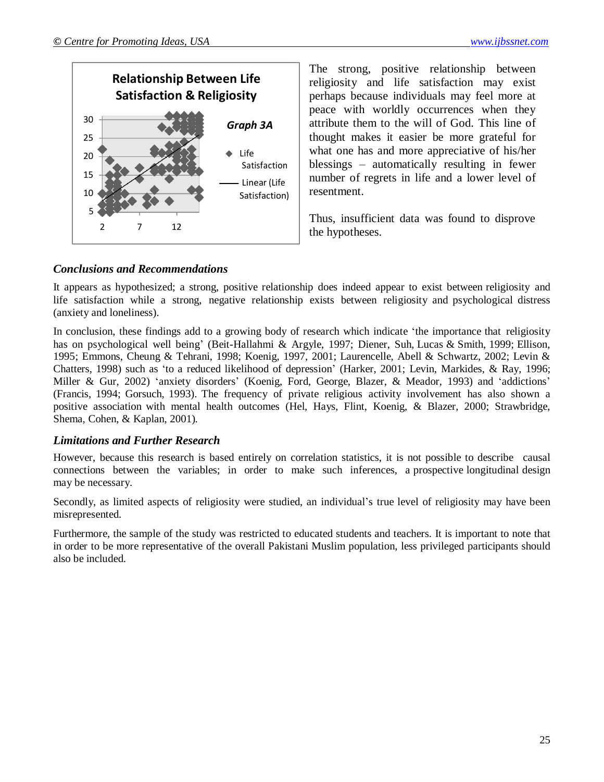

The strong, positive relationship between religiosity and life satisfaction may exist perhaps because individuals may feel more at peace with worldly occurrences when they attribute them to the will of God. This line of thought makes it easier be more grateful for what one has and more appreciative of his/her blessings – automatically resulting in fewer number of regrets in life and a lower level of resentment.

Thus, insufficient data was found to disprove the hypotheses.

# *Conclusions and Recommendations*

It appears as hypothesized; a strong, positive relationship does indeed appear to exist between religiosity and life satisfaction while a strong, negative relationship exists between religiosity and psychological distress (anxiety and loneliness).

In conclusion, these findings add to a growing body of research which indicate "the importance that religiosity has on psychological well being" (Beit-Hallahmi & Argyle, 1997; Diener, Suh, Lucas & Smith, 1999; Ellison, 1995; Emmons, Cheung & Tehrani, 1998; Koenig, 1997, 2001; Laurencelle, Abell & Schwartz, 2002; Levin & Chatters, 1998) such as "to a reduced likelihood of depression" (Harker, 2001; Levin, Markides, & Ray, 1996; Miller & Gur, 2002) 'anxiety disorders' (Koenig, Ford, George, Blazer, & Meador, 1993) and 'addictions' (Francis, 1994; Gorsuch, 1993). The frequency of private religious activity involvement has also shown a positive association with mental health outcomes (Hel, Hays, Flint, Koenig, & Blazer, 2000; Strawbridge, Shema, Cohen, & Kaplan, 2001).

#### *Limitations and Further Research*

However, because this research is based entirely on correlation statistics, it is not possible to describe causal connections between the variables; in order to make such inferences, a prospective longitudinal design may be necessary.

Secondly, as limited aspects of religiosity were studied, an individual"s true level of religiosity may have been misrepresented.

Furthermore, the sample of the study was restricted to educated students and teachers. It is important to note that in order to be more representative of the overall Pakistani Muslim population, less privileged participants should also be included.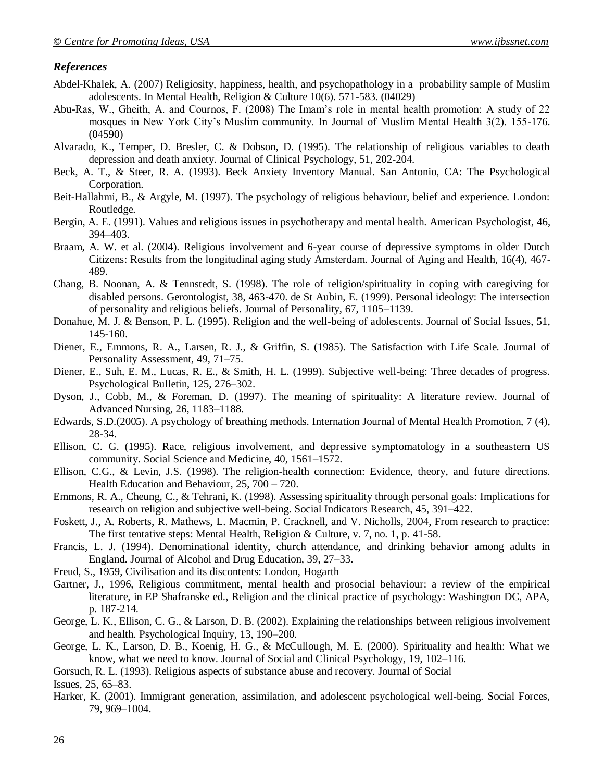### *References*

- Abdel-Khalek, A. (2007) Religiosity, happiness, health, and psychopathology in a probability sample of Muslim adolescents. In Mental Health, Religion & Culture 10(6). 571-583. (04029)
- Abu-Ras, W., Gheith, A. and Cournos, F. (2008) The Imam"s role in mental health promotion: A study of 22 mosques in New York City"s Muslim community. In Journal of Muslim Mental Health 3(2). 155-176. (04590)
- Alvarado, K., Temper, D. Bresler, C. & Dobson, D. (1995). The relationship of religious variables to death depression and death anxiety. Journal of Clinical Psychology, 51, 202-204.
- Beck, A. T., & Steer, R. A. (1993). Beck Anxiety Inventory Manual. San Antonio, CA: The Psychological Corporation.
- Beit-Hallahmi, B., & Argyle, M. (1997). The psychology of religious behaviour, belief and experience. London: Routledge.
- Bergin, A. E. (1991). Values and religious issues in psychotherapy and mental health. American Psychologist, 46, 394–403.
- Braam, A. W. et al. (2004). Religious involvement and 6-year course of depressive symptoms in older Dutch Citizens: Results from the longitudinal aging study Amsterdam. Journal of Aging and Health, 16(4), 467- 489.
- Chang, B. Noonan, A. & Tennstedt, S. (1998). The role of religion/spirituality in coping with caregiving for disabled persons. Gerontologist, 38, 463-470. de St Aubin, E. (1999). Personal ideology: The intersection of personality and religious beliefs. Journal of Personality, 67, 1105–1139.
- Donahue, M. J. & Benson, P. L. (1995). Religion and the well-being of adolescents. Journal of Social Issues, 51, 145-160.
- Diener, E., Emmons, R. A., Larsen, R. J., & Griffin, S. (1985). The Satisfaction with Life Scale. Journal of Personality Assessment, 49, 71–75.
- Diener, E., Suh, E. M., Lucas, R. E., & Smith, H. L. (1999). Subjective well-being: Three decades of progress. Psychological Bulletin, 125, 276–302.
- Dyson, J., Cobb, M., & Foreman, D. (1997). The meaning of spirituality: A literature review. Journal of Advanced Nursing, 26, 1183–1188.
- Edwards, S.D.(2005). A psychology of breathing methods. Internation Journal of Mental Health Promotion, 7 (4), 28-34.
- Ellison, C. G. (1995). Race, religious involvement, and depressive symptomatology in a southeastern US community. Social Science and Medicine, 40, 1561–1572.
- Ellison, C.G., & Levin, J.S. (1998). The religion-health connection: Evidence, theory, and future directions. Health Education and Behaviour, 25, 700 – 720.
- Emmons, R. A., Cheung, C., & Tehrani, K. (1998). Assessing spirituality through personal goals: Implications for research on religion and subjective well-being. Social Indicators Research, 45, 391–422.
- Foskett, J., A. Roberts, R. Mathews, L. Macmin, P. Cracknell, and V. Nicholls, 2004, From research to practice: The first tentative steps: Mental Health, Religion & Culture, v. 7, no. 1, p. 41-58.
- Francis, L. J. (1994). Denominational identity, church attendance, and drinking behavior among adults in England. Journal of Alcohol and Drug Education, 39, 27–33.
- Freud, S., 1959, Civilisation and its discontents: London, Hogarth
- Gartner, J., 1996, Religious commitment, mental health and prosocial behaviour: a review of the empirical literature, in EP Shafranske ed., Religion and the clinical practice of psychology: Washington DC, APA, p. 187-214.
- George, L. K., Ellison, C. G., & Larson, D. B. (2002). Explaining the relationships between religious involvement and health. Psychological Inquiry, 13, 190–200.
- George, L. K., Larson, D. B., Koenig, H. G., & McCullough, M. E. (2000). Spirituality and health: What we know, what we need to know. Journal of Social and Clinical Psychology, 19, 102–116.
- Gorsuch, R. L. (1993). Religious aspects of substance abuse and recovery. Journal of Social

Issues, 25, 65–83.

Harker, K. (2001). Immigrant generation, assimilation, and adolescent psychological well-being. Social Forces, 79, 969–1004.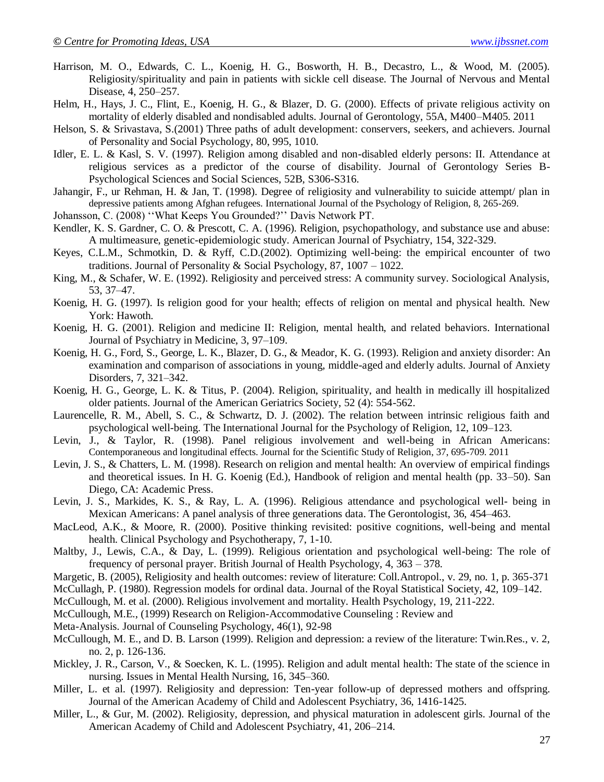- Harrison, M. O., Edwards, C. L., Koenig, H. G., Bosworth, H. B., Decastro, L., & Wood, M. (2005). Religiosity/spirituality and pain in patients with sickle cell disease. The Journal of Nervous and Mental Disease, 4, 250–257.
- Helm, H., Hays, J. C., Flint, E., Koenig, H. G., & Blazer, D. G. (2000). Effects of private religious activity on mortality of elderly disabled and nondisabled adults. Journal of Gerontology, 55A, M400–M405. 2011
- Helson, S. & Srivastava, S.(2001) Three paths of adult development: conservers, seekers, and achievers. Journal of Personality and Social Psychology, 80, 995, 1010.
- Idler, E. L. & Kasl, S. V. (1997). Religion among disabled and non-disabled elderly persons: II. Attendance at religious services as a predictor of the course of disability. Journal of Gerontology Series B-Psychological Sciences and Social Sciences, 52B, S306-S316.
- Jahangir, F., ur Rehman, H. & Jan, T. (1998). Degree of religiosity and vulnerability to suicide attempt/ plan in depressive patients among Afghan refugees. International Journal of the Psychology of Religion, 8, 265-269.
- Johansson, C. (2008) ""What Keeps You Grounded?"" Davis Network PT.
- Kendler, K. S. Gardner, C. O. & Prescott, C. A. (1996). Religion, psychopathology, and substance use and abuse: A multimeasure, genetic-epidemiologic study. American Journal of Psychiatry, 154, 322-329.
- Keyes, C.L.M., Schmotkin, D. & Ryff, C.D.(2002). Optimizing well-being: the empirical encounter of two traditions. Journal of Personality & Social Psychology, 87,  $1007 - 1022$ .
- King, M., & Schafer, W. E. (1992). Religiosity and perceived stress: A community survey. Sociological Analysis, 53, 37–47.
- Koenig, H. G. (1997). Is religion good for your health; effects of religion on mental and physical health. New York: Hawoth.
- Koenig, H. G. (2001). Religion and medicine II: Religion, mental health, and related behaviors. International Journal of Psychiatry in Medicine, 3, 97–109.
- Koenig, H. G., Ford, S., George, L. K., Blazer, D. G., & Meador, K. G. (1993). Religion and anxiety disorder: An examination and comparison of associations in young, middle-aged and elderly adults. Journal of Anxiety Disorders, 7, 321–342.
- Koenig, H. G., George, L. K. & Titus, P. (2004). Religion, spirituality, and health in medically ill hospitalized older patients. Journal of the American Geriatrics Society, 52 (4): 554-562.
- Laurencelle, R. M., Abell, S. C., & Schwartz, D. J. (2002). The relation between intrinsic religious faith and psychological well-being. The International Journal for the Psychology of Religion, 12, 109–123.
- Levin, J., & Taylor, R. (1998). Panel religious involvement and well-being in African Americans: Contemporaneous and longitudinal effects. Journal for the Scientific Study of Religion, 37, 695-709. 2011
- Levin, J. S., & Chatters, L. M. (1998). Research on religion and mental health: An overview of empirical findings and theoretical issues. In H. G. Koenig (Ed.), Handbook of religion and mental health (pp. 33–50). San Diego, CA: Academic Press.
- Levin, J. S., Markides, K. S., & Ray, L. A. (1996). Religious attendance and psychological well- being in Mexican Americans: A panel analysis of three generations data. The Gerontologist, 36, 454–463.
- MacLeod, A.K., & Moore, R. (2000). Positive thinking revisited: positive cognitions, well-being and mental health. Clinical Psychology and Psychotherapy, 7, 1-10.
- Maltby, J., Lewis, C.A., & Day, L. (1999). Religious orientation and psychological well-being: The role of frequency of personal prayer. British Journal of Health Psychology, 4, 363 – 378.
- Margetic, B. (2005), Religiosity and health outcomes: review of literature: Coll.Antropol., v. 29, no. 1, p. 365-371
- McCullagh, P. (1980). Regression models for ordinal data. Journal of the Royal Statistical Society, 42, 109–142.
- McCullough, M. et al. (2000). Religious involvement and mortality. Health Psychology, 19, 211-222.
- McCullough, M.E., (1999) Research on Religion-Accommodative Counseling : Review and
- Meta-Analysis. Journal of Counseling Psychology, 46(1), 92-98
- McCullough, M. E., and D. B. Larson (1999). Religion and depression: a review of the literature: Twin.Res., v. 2, no. 2, p. 126-136.
- Mickley, J. R., Carson, V., & Soecken, K. L. (1995). Religion and adult mental health: The state of the science in nursing. Issues in Mental Health Nursing, 16, 345–360.
- Miller, L. et al. (1997). Religiosity and depression: Ten-year follow-up of depressed mothers and offspring. Journal of the American Academy of Child and Adolescent Psychiatry, 36, 1416-1425.
- Miller, L., & Gur, M. (2002). Religiosity, depression, and physical maturation in adolescent girls. Journal of the American Academy of Child and Adolescent Psychiatry, 41, 206–214.